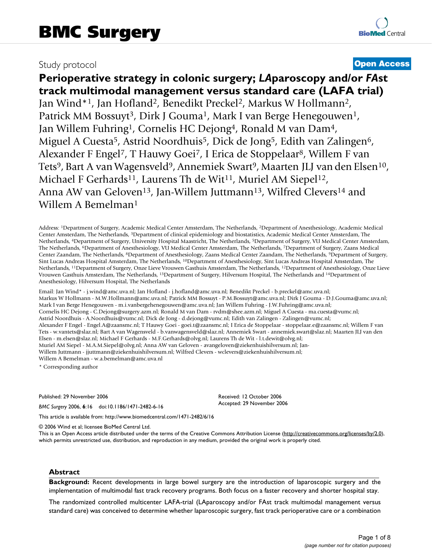# Study protocol **[Open Access](http://www.biomedcentral.com/info/about/charter/)**

**Perioperative strategy in colonic surgery;** *LA***paroscopy and/or** *FA***st track multimodal management versus standard care (LAFA trial)** Jan Wind\*1, Jan Hofland2, Benedikt Preckel2, Markus W Hollmann2, Patrick MM Bossuyt<sup>3</sup>, Dirk J Gouma<sup>1</sup>, Mark I van Berge Henegouwen<sup>1</sup>, Jan Willem Fuhring1, Cornelis HC Dejong4, Ronald M van Dam4, Miguel A Cuesta<sup>5</sup>, Astrid Noordhuis<sup>5</sup>, Dick de Jong<sup>5</sup>, Edith van Zalingen<sup>6</sup>, Alexander F Engel7, T Hauwy Goei7, I Erica de Stoppelaar8, Willem F van Tets<sup>9</sup>, Bart A van Wagensveld<sup>9</sup>, Annemiek Swart<sup>9</sup>, Maarten JLJ van den Elsen<sup>10</sup>, Michael F Gerhards<sup>11</sup>, Laurens Th de Wit<sup>11</sup>, Muriel AM Siepel<sup>12</sup>, Anna AW van Geloven<sup>13</sup>, Jan-Willem Juttmann<sup>13</sup>, Wilfred Clevers<sup>14</sup> and Willem A Bemelman1

Address: 1Department of Surgery, Academic Medical Center Amsterdam, The Netherlands, 2Department of Anesthesiology, Academic Medical Center Amsterdam, The Netherlands, 3Department of clinical epidemiology and biostatistics, Academic Medical Center Amsterdam, The Netherlands, 4Department of Surgery, University Hospital Maastricht, The Netherlands, 5Department of Surgery, VU Medical Center Amsterdam, The Netherlands, 6Department of Anesthesiology, VU Medical Center Amsterdam, The Netherlands, 7Department of Surgery, Zaans Medical Center Zaandam, The Netherlands, 8Department of Anesthesiology, Zaans Medical Center Zaandam, The Netherlands, 9Department of Surgery, Sint Lucas Andreas Hospital Amsterdam, The Netherlands, 10Department of Anesthesiology, Sint Lucas Andreas Hospital Amsterdam, The Netherlands, 11Department of Surgery, Onze Lieve Vrouwen Gasthuis Amsterdam, The Netherlands, 12Department of Anesthesiology, Onze Lieve Vrouwen Gasthuis Amsterdam, The Netherlands, 13Department of Surgery, Hilversum Hospital, The Netherlands and 14Department of Anesthesiology, Hilversum Hospital, The Netherlands

Email: Jan Wind\* - j.wind@amc.uva.nl; Jan Hofland - j.hofland@amc.uva.nl; Benedikt Preckel - b.preckel@amc.uva.nl; Markus W Hollmann - M.W.Hollmann@amc.uva.nl; Patrick MM Bossuyt - P.M.Bossuyt@amc.uva.nl; Dirk J Gouma - D.J.Gouma@amc.uva.nl; Mark I van Berge Henegouwen - m.i.vanbergehenegouwen@amc.uva.nl; Jan Willem Fuhring - J.W.Fuhring@amc.uva.nl; Cornelis HC Dejong - C.Dejong@surgery.azm.nl; Ronald M van Dam - rvdm@shee.azm.nl; Miguel A Cuesta - ma.cuesta@vumc.nl; Astrid Noordhuis - A.Noordhuis@vumc.nl; Dick de Jong - d.dejong@vumc.nl; Edith van Zalingen - Zalingen@vumc.nl; Alexander F Engel - Engel.A@zaansmc.nl; T Hauwy Goei - goei.t@zaansmc.nl; I Erica de Stoppelaar - stoppelaar.e@zaansmc.nl; Willem F van Tets - w.vantets@slaz.nl; Bart A van Wagensveld - b.vanwagensveld@slaz.nl; Annemiek Swart - annemiek.swart@slaz.nl; Maarten JLJ van den Elsen - m.elsen@slaz.nl; Michael F Gerhards - M.F.Gerhards@olvg.nl; Laurens Th de Wit - l.t.dewit@olvg.nl; Muriel AM Siepel - M.A.M.Siepel@olvg.nl; Anna AW van Geloven - avangeloven@ziekenhuishilversum.nl; Jan-Willem Juttmann - jjuttmann@ziekenhuishilversum.nl; Wilfred Clevers - wclevers@ziekenhuishilversum.nl; Willem A Bemelman - w.a.bemelman@amc.uva.nl

\* Corresponding author

Published: 29 November 2006

*BMC Surgery* 2006, **6**:16 doi:10.1186/1471-2482-6-16

Received: 12 October 2006 Accepted: 29 November 2006

[This article is available from: http://www.biomedcentral.com/1471-2482/6/16](http://www.biomedcentral.com/1471-2482/6/16)

© 2006 Wind et al; licensee BioMed Central Ltd.

This is an Open Access article distributed under the terms of the Creative Commons Attribution License [\(http://creativecommons.org/licenses/by/2.0\)](http://creativecommons.org/licenses/by/2.0), which permits unrestricted use, distribution, and reproduction in any medium, provided the original work is properly cited.

# **Abstract**

**Background:** Recent developments in large bowel surgery are the introduction of laparoscopic surgery and the implementation of multimodal fast track recovery programs. Both focus on a faster recovery and shorter hospital stay.

The randomized controlled multicenter LAFA-trial (LAparoscopy and/or FAst track multimodal management versus standard care) was conceived to determine whether laparoscopic surgery, fast track perioperative care or a combination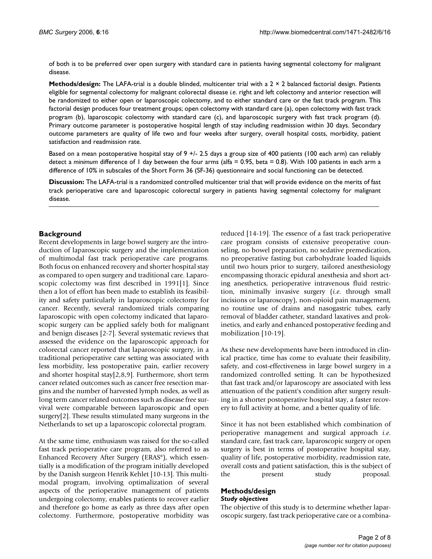of both is to be preferred over open surgery with standard care in patients having segmental colectomy for malignant disease.

**Methods/design:** The LAFA-trial is a double blinded, multicenter trial with a 2 × 2 balanced factorial design. Patients eligible for segmental colectomy for malignant colorectal disease *i.e*. right and left colectomy and anterior resection will be randomized to either open or laparoscopic colectomy, and to either standard care or the fast track program. This factorial design produces four treatment groups; open colectomy with standard care (a), open colectomy with fast track program (b), laparoscopic colectomy with standard care (c), and laparoscopic surgery with fast track program (d). Primary outcome parameter is postoperative hospital length of stay including readmission within 30 days. Secondary outcome parameters are quality of life two and four weeks after surgery, overall hospital costs, morbidity, patient satisfaction and readmission rate.

Based on a mean postoperative hospital stay of  $9 +/- 2.5$  days a group size of 400 patients (100 each arm) can reliably detect a *minimum* difference of 1 day between the four arms (alfa = 0.95, beta = 0.8). With 100 patients in each arm a difference of 10% in subscales of the Short Form 36 (SF-36) questionnaire and social functioning can be detected.

**Discussion:** The LAFA-trial is a randomized controlled multicenter trial that will provide evidence on the merits of fast track perioperative care and laparoscopic colorectal surgery in patients having segmental colectomy for malignant disease.

# **Background**

Recent developments in large bowel surgery are the introduction of laparoscopic surgery and the implementation of multimodal fast track perioperative care programs. Both focus on enhanced recovery and shorter hospital stay as compared to open surgery and traditional care. Laparoscopic colectomy was first described in 1991[1]. Since then a lot of effort has been made to establish its feasibility and safety particularly in laparoscopic colectomy for cancer. Recently, several randomized trials comparing laparoscopic with open colectomy indicated that laparoscopic surgery can be applied safely both for malignant and benign diseases [2-7]. Several systematic reviews that assessed the evidence on the laparoscopic approach for colorectal cancer reported that laparoscopic surgery, in a traditional perioperative care setting was associated with less morbidity, less postoperative pain, earlier recovery and shorter hospital stay[2,8,9]. Furthermore, short term cancer related outcomes such as cancer free resection margins and the number of harvested lymph nodes, as well as long term cancer related outcomes such as disease free survival were comparable between laparoscopic and open surgery[2]. These results stimulated many surgeons in the Netherlands to set up a laparoscopic colorectal program.

At the same time, enthusiasm was raised for the so-called fast track perioperative care program, also referred to as Enhanced Recovery After Surgery (ERAS®), which essentially is a modification of the program initially developed by the Danish surgeon Henrik Kehlet [10-13]. This multimodal program, involving optimalization of several aspects of the perioperative management of patients undergoing colectomy, enables patients to recover earlier and therefore go home as early as three days after open colectomy. Furthermore, postoperative morbidity was reduced [14-19]. The essence of a fast track perioperative care program consists of extensive preoperative counseling, no bowel preparation, no sedative premedication, no preoperative fasting but carbohydrate loaded liquids until two hours prior to surgery, tailored anesthesiology encompassing thoracic epidural anesthesia and short acting anesthetics, perioperative intravenous fluid restriction, minimally invasive surgery (*i.e*. through small incisions or laparoscopy), non-opioid pain management, no routine use of drains and nasogastric tubes, early removal of bladder catheter, standard laxatives and prokinetics, and early and enhanced postoperative feeding and mobilization [10-19].

As these new developments have been introduced in clinical practice, time has come to evaluate their feasibility, safety, and cost-effectiveness in large bowel surgery in a randomized controlled setting. It can be hypothesized that fast track and/or laparoscopy are associated with less attenuation of the patient's condition after surgery resulting in a shorter postoperative hospital stay, a faster recovery to full activity at home, and a better quality of life.

Since it has not been established which combination of perioperative management and surgical approach *i.e*. standard care, fast track care, laparoscopic surgery or open surgery is best in terms of postoperative hospital stay, quality of life, postoperative morbidity, readmission rate, overall costs and patient satisfaction, this is the subject of the present study proposal.

# **Methods/design**

#### *Study objectives*

The objective of this study is to determine whether laparoscopic surgery, fast track perioperative care or a combina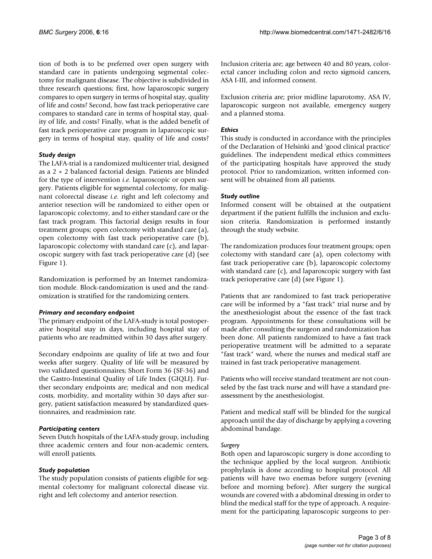tion of both is to be preferred over open surgery with standard care in patients undergoing segmental colectomy for malignant disease. The objective is subdivided in three research questions; first, how laparoscopic surgery compares to open surgery in terms of hospital stay, quality of life and costs? Second, how fast track perioperative care compares to standard care in terms of hospital stay, quality of life, and costs? Finally, what is the added benefit of fast track perioperative care program in laparoscopic surgery in terms of hospital stay, quality of life and costs?

# *Study design*

The LAFA-trial is a randomized multicenter trial, designed as a 2 × 2 balanced factorial design. Patients are blinded for the type of intervention *i.e*. laparoscopic or open surgery. Patients eligible for segmental colectomy, for malignant colorectal disease *i.e*. right and left colectomy and anterior resection will be randomized to either open or laparoscopic colectomy, and to either standard care or the fast track program. This factorial design results in four treatment groups; open colectomy with standard care (a), open colectomy with fast track perioperative care (b), laparoscopic colectomy with standard care (c), and laparoscopic surgery with fast track perioperative care (d) (see Figure 1).

Randomization is performed by an Internet randomization module. Block-randomization is used and the randomization is stratified for the randomizing centers.

# *Primary and secondary endpoint*

The primary endpoint of the LAFA-study is total postoperative hospital stay in days, including hospital stay of patients who are readmitted within 30 days after surgery.

Secondary endpoints are quality of life at two and four weeks after surgery. Quality of life will be measured by two validated questionnaires; Short Form 36 (SF-36) and the Gastro-Intestinal Quality of Life Index (GIQLI). Further secondary endpoints are; medical and non medical costs, morbidity, and mortality within 30 days after surgery, patient satisfaction measured by standardized questionnaires, and readmission rate.

# *Participating centers*

Seven Dutch hospitals of the LAFA-study group, including three academic centers and four non-academic centers, will enroll patients.

# *Study population*

The study population consists of patients eligible for segmental colectomy for malignant colorectal disease viz. right and left colectomy and anterior resection.

Inclusion criteria are; age between 40 and 80 years, colorectal cancer including colon and recto sigmoid cancers, ASA I-III, and informed consent.

Exclusion criteria are; prior midline laparotomy, ASA IV, laparoscopic surgeon not available, emergency surgery and a planned stoma.

# *Ethics*

This study is conducted in accordance with the principles of the Declaration of Helsinki and 'good clinical practice' guidelines. The independent medical ethics committees of the participating hospitals have approved the study protocol. Prior to randomization, written informed consent will be obtained from all patients.

# *Study outline*

Informed consent will be obtained at the outpatient department if the patient fulfills the inclusion and exclusion criteria. Randomization is performed instantly through the study website.

The randomization produces four treatment groups; open colectomy with standard care (a), open colectomy with fast track perioperative care (b), laparoscopic colectomy with standard care (c), and laparoscopic surgery with fast track perioperative care (d) (see Figure 1).

Patients that are randomized to fast track perioperative care will be informed by a "fast track" trial nurse and by the anesthesiologist about the essence of the fast track program. Appointments for these consultations will be made after consulting the surgeon and randomization has been done. All patients randomized to have a fast track perioperative treatment will be admitted to a separate "fast track" ward, where the nurses and medical staff are trained in fast track perioperative management.

Patients who will receive standard treatment are not counseled by the fast track nurse and will have a standard preassessment by the anesthesiologist.

Patient and medical staff will be blinded for the surgical approach until the day of discharge by applying a covering abdominal bandage.

#### *Surgery*

Both open and laparoscopic surgery is done according to the technique applied by the local surgeon. Antibiotic prophylaxis is done according to hospital protocol. All patients will have two enemas before surgery (evening before and morning before). After surgery the surgical wounds are covered with a abdominal dressing in order to blind the medical staff for the type of approach. A requirement for the participating laparoscopic surgeons to per-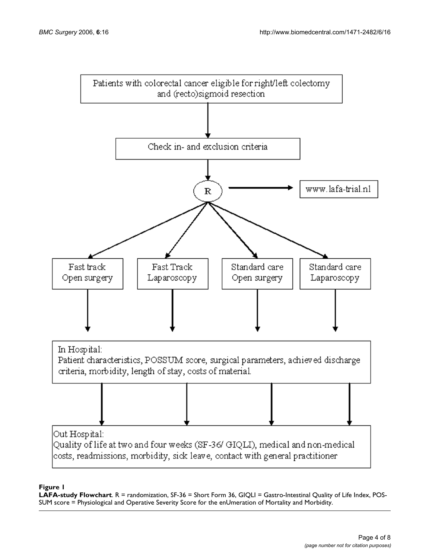

**Figure 1** 

**LAFA-study Flowchart**. R = randomization, SF-36 = Short Form 36, GIQLI = Gastro-Intestinal Quality of Life Index, POS-SUM score = Physiological and Operative Severity Score for the enUmeration of Mortality and Morbidity.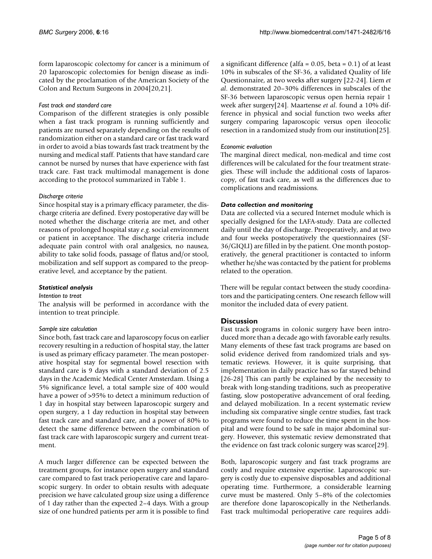form laparoscopic colectomy for cancer is a minimum of 20 laparoscopic colectomies for benign disease as indicated by the proclamation of the American Society of the Colon and Rectum Surgeons in 2004[20,21].

# *Fast track and standard care*

Comparison of the different strategies is only possible when a fast track program is running sufficiently and patients are nursed separately depending on the results of randomization either on a standard care or fast track ward in order to avoid a bias towards fast track treatment by the nursing and medical staff. Patients that have standard care cannot be nursed by nurses that have experience with fast track care. Fast track multimodal management is done according to the protocol summarized in Table 1.

# *Discharge criteria*

Since hospital stay is a primary efficacy parameter, the discharge criteria are defined. Every postoperative day will be noted whether the discharge criteria are met, and other reasons of prolonged hospital stay *e.g*. social environment or patient in acceptance. The discharge criteria include adequate pain control with oral analgesics, no nausea, ability to take solid foods, passage of flatus and/or stool, mobilization and self support as compared to the preoperative level, and acceptance by the patient.

# *Statistical analysis*

#### *Intention to treat*

The analysis will be performed in accordance with the intention to treat principle.

#### *Sample size calculation*

Since both, fast track care and laparoscopy focus on earlier recovery resulting in a reduction of hospital stay, the latter is used as primary efficacy parameter. The mean postoperative hospital stay for segmental bowel resection with standard care is 9 days with a standard deviation of 2.5 days in the Academic Medical Center Amsterdam. Using a 5% significance level, a total sample size of 400 would have a power of >95% to detect a minimum reduction of 1 day in hospital stay between laparoscopic surgery and open surgery, a 1 day reduction in hospital stay between fast track care and standard care, and a power of 80% to detect the same difference between the combination of fast track care with laparoscopic surgery and current treatment.

A much larger difference can be expected between the treatment groups, for instance open surgery and standard care compared to fast track perioperative care and laparoscopic surgery. In order to obtain results with adequate precision we have calculated group size using a difference of 1 day rather than the expected 2–4 days. With a group size of one hundred patients per arm it is possible to find

a significant difference (alfa =  $0.05$ , beta =  $0.1$ ) of at least 10% in subscales of the SF-36, a validated Quality of life Questionnaire, at two weeks after surgery [22-24]. Liem *et al*. demonstrated 20–30% differences in subscales of the SF-36 between laparoscopic versus open hernia repair 1 week after surgery[24]. Maartense *et al*. found a 10% difference in physical and social function two weeks after surgery comparing laparoscopic versus open ileocolic resection in a randomized study from our institution[25].

# *Economic evaluation*

The marginal direct medical, non-medical and time cost differences will be calculated for the four treatment strategies. These will include the additional costs of laparoscopy, of fast track care, as well as the differences due to complications and readmissions.

#### *Data collection and monitoring*

Data are collected via a secured Internet module which is specially designed for the LAFA-study. Data are collected daily until the day of discharge. Preoperatively, and at two and four weeks postoperatively the questionnaires (SF-36/GIQLI) are filled in by the patient. One month postoperatively, the general practitioner is contacted to inform whether he/she was contacted by the patient for problems related to the operation.

There will be regular contact between the study coordinators and the participating centers. One research fellow will monitor the included data of every patient.

# **Discussion**

Fast track programs in colonic surgery have been introduced more than a decade ago with favorable early results. Many elements of these fast track programs are based on solid evidence derived from randomized trials and systematic reviews. However, it is quite surprising, that implementation in daily practice has so far stayed behind [26-28] This can partly be explained by the necessity to break with long-standing traditions, such as preoperative fasting, slow postoperative advancement of oral feeding, and delayed mobilization. In a recent systematic review including six comparative single centre studies, fast track programs were found to reduce the time spent in the hospital and were found to be safe in major abdominal surgery. However, this systematic review demonstrated that the evidence on fast track colonic surgery was scarce[29].

Both, laparoscopic surgery and fast track programs are costly and require extensive expertise. Laparoscopic surgery is costly due to expensive disposables and additional operating time. Furthermore, a considerable learning curve must be mastered. Only 5–8% of the colectomies are therefore done laparoscopically in the Netherlands. Fast track multimodal perioperative care requires addi-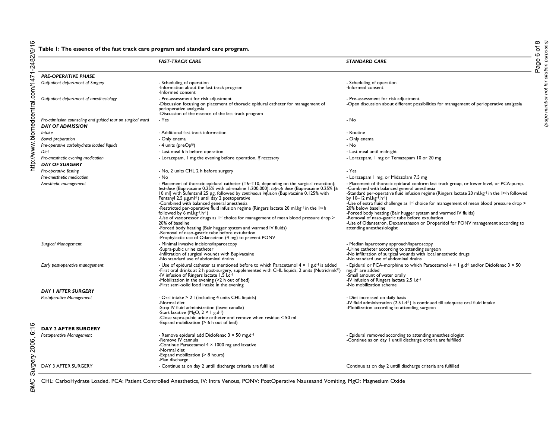# **Table 1: The essence of the fast track care program and standard care program.**

|                                                                                        | <b>FAST-TRACK CARE</b>                                                                                                                                                                                                                                                                                                                                                                                                                                                                                                                                                                                                                                                                                                                                                                                                                                                                                                                                                                                                                                                                                                                                                                                               | <b>STANDARD CARE</b>                                                                                                                                                                                                                                                                                                                                                                                                                                                                                                                                                                                                                                                                                                                                                                                                                                                                                                                                                                                                             |
|----------------------------------------------------------------------------------------|----------------------------------------------------------------------------------------------------------------------------------------------------------------------------------------------------------------------------------------------------------------------------------------------------------------------------------------------------------------------------------------------------------------------------------------------------------------------------------------------------------------------------------------------------------------------------------------------------------------------------------------------------------------------------------------------------------------------------------------------------------------------------------------------------------------------------------------------------------------------------------------------------------------------------------------------------------------------------------------------------------------------------------------------------------------------------------------------------------------------------------------------------------------------------------------------------------------------|----------------------------------------------------------------------------------------------------------------------------------------------------------------------------------------------------------------------------------------------------------------------------------------------------------------------------------------------------------------------------------------------------------------------------------------------------------------------------------------------------------------------------------------------------------------------------------------------------------------------------------------------------------------------------------------------------------------------------------------------------------------------------------------------------------------------------------------------------------------------------------------------------------------------------------------------------------------------------------------------------------------------------------|
| <b>PRE-OPERATIVE PHASE</b>                                                             |                                                                                                                                                                                                                                                                                                                                                                                                                                                                                                                                                                                                                                                                                                                                                                                                                                                                                                                                                                                                                                                                                                                                                                                                                      |                                                                                                                                                                                                                                                                                                                                                                                                                                                                                                                                                                                                                                                                                                                                                                                                                                                                                                                                                                                                                                  |
| Outpatient department of Surgery                                                       | - Scheduling of operation<br>-Information about the fast track program<br>-Informed consent                                                                                                                                                                                                                                                                                                                                                                                                                                                                                                                                                                                                                                                                                                                                                                                                                                                                                                                                                                                                                                                                                                                          | - Scheduling of operation<br>-Informed consent                                                                                                                                                                                                                                                                                                                                                                                                                                                                                                                                                                                                                                                                                                                                                                                                                                                                                                                                                                                   |
| Outpatient department of anesthesiology                                                | - Pre-assessment for risk adjustment<br>-Discussion focusing on placement of thoracic epidural catheter for management of<br>perioperative analgesia<br>-Discussion of the essence of the fast track program                                                                                                                                                                                                                                                                                                                                                                                                                                                                                                                                                                                                                                                                                                                                                                                                                                                                                                                                                                                                         | - Pre-assessment for risk adjustment<br>-Open discussion about different possibilities for management of perioperative analgesia                                                                                                                                                                                                                                                                                                                                                                                                                                                                                                                                                                                                                                                                                                                                                                                                                                                                                                 |
| Pre-admission counseling and guided tour on surgical ward<br><b>DAY OF ADMISSION</b>   | - Yes                                                                                                                                                                                                                                                                                                                                                                                                                                                                                                                                                                                                                                                                                                                                                                                                                                                                                                                                                                                                                                                                                                                                                                                                                | - No                                                                                                                                                                                                                                                                                                                                                                                                                                                                                                                                                                                                                                                                                                                                                                                                                                                                                                                                                                                                                             |
| Intake                                                                                 | - Additional fast track information                                                                                                                                                                                                                                                                                                                                                                                                                                                                                                                                                                                                                                                                                                                                                                                                                                                                                                                                                                                                                                                                                                                                                                                  | - Routine                                                                                                                                                                                                                                                                                                                                                                                                                                                                                                                                                                                                                                                                                                                                                                                                                                                                                                                                                                                                                        |
| <b>Bowel preparation</b>                                                               | - Only enema                                                                                                                                                                                                                                                                                                                                                                                                                                                                                                                                                                                                                                                                                                                                                                                                                                                                                                                                                                                                                                                                                                                                                                                                         | - Only enema                                                                                                                                                                                                                                                                                                                                                                                                                                                                                                                                                                                                                                                                                                                                                                                                                                                                                                                                                                                                                     |
| Pre-operative carbohydrate loaded liquids                                              | - 4 units (preOp®)                                                                                                                                                                                                                                                                                                                                                                                                                                                                                                                                                                                                                                                                                                                                                                                                                                                                                                                                                                                                                                                                                                                                                                                                   | - No                                                                                                                                                                                                                                                                                                                                                                                                                                                                                                                                                                                                                                                                                                                                                                                                                                                                                                                                                                                                                             |
| Diet                                                                                   | - Last meal 6 h before operation                                                                                                                                                                                                                                                                                                                                                                                                                                                                                                                                                                                                                                                                                                                                                                                                                                                                                                                                                                                                                                                                                                                                                                                     | - Last meal until midnight                                                                                                                                                                                                                                                                                                                                                                                                                                                                                                                                                                                                                                                                                                                                                                                                                                                                                                                                                                                                       |
| Pre-anesthetic evening medication                                                      | - Lorazepam, I mg the evening before operation, if necessary                                                                                                                                                                                                                                                                                                                                                                                                                                                                                                                                                                                                                                                                                                                                                                                                                                                                                                                                                                                                                                                                                                                                                         | - Lorazepam, I mg or Temazepam 10 or 20 mg                                                                                                                                                                                                                                                                                                                                                                                                                                                                                                                                                                                                                                                                                                                                                                                                                                                                                                                                                                                       |
| <b>DAY OF SURGERY</b>                                                                  |                                                                                                                                                                                                                                                                                                                                                                                                                                                                                                                                                                                                                                                                                                                                                                                                                                                                                                                                                                                                                                                                                                                                                                                                                      |                                                                                                                                                                                                                                                                                                                                                                                                                                                                                                                                                                                                                                                                                                                                                                                                                                                                                                                                                                                                                                  |
| Pre-operative fasting                                                                  | - No, 2 units CHL 2 h before surgery                                                                                                                                                                                                                                                                                                                                                                                                                                                                                                                                                                                                                                                                                                                                                                                                                                                                                                                                                                                                                                                                                                                                                                                 | - Yes                                                                                                                                                                                                                                                                                                                                                                                                                                                                                                                                                                                                                                                                                                                                                                                                                                                                                                                                                                                                                            |
| Pre-anesthetic medication                                                              | - No                                                                                                                                                                                                                                                                                                                                                                                                                                                                                                                                                                                                                                                                                                                                                                                                                                                                                                                                                                                                                                                                                                                                                                                                                 | - Lorazepam 1 mg, or Midazolam 7.5 mg                                                                                                                                                                                                                                                                                                                                                                                                                                                                                                                                                                                                                                                                                                                                                                                                                                                                                                                                                                                            |
| Anesthetic management<br><b>Surgical Management</b><br>Early post-operative management | - Placement of thoracic epidural catheter (T6-T10, depending on the surgical resection);<br>test-dose (Bupivacaine 0.25% with adrenaline 1:200,000), top-up dose (Bupivacaine 0.25% [±<br>10 ml] with Sufentanil 25 μg, followed by continuous infusion (Bupivacaine 0.125% with<br>Fentanyl 2.5 µg.ml-1) until day 2 postoperative<br>-Combined with balanced general anesthesia<br>-Restricted per-operative fluid infusion regime (Ringers lactate 20 ml.kg <sup>-1</sup> in the 1 <sup>st</sup> h<br>followed by 6 ml.kg-1.h-1)<br>-Use of vasopressor drugs as 1st choice for management of mean blood pressure drop ><br>20% of baseline<br>-Forced body heating (Bair hugger system and warmed IV fluids)<br>-Removal of naso-gastric tube before extubation<br>-Prophylactic use of Odansetron (4 mg) to prevent PONV<br>- Minimal invasive incisions/laparoscopy<br>-Supra-pubic urine catheter<br>-Infiltration of surgical wounds with Bupivacaine<br>-No standard use of abdominal drains<br>- Use of epidural catheter as mentioned before to which Paracetamol $4 \times 1$ g.d <sup>-1</sup> is added<br>-First oral drinks at 2 h post-surgery, supplemented with CHL liquids, 2 units (Nutridrink®) | - Placement of thoracic epidural conform fast track group, or lower level, or PCA-pump.<br>-Combined with balanced general anesthesia<br>-Standard per-operative fluid infusion regime (Ringers lactate 20 ml.kg <sup>-1</sup> in the 1 <sup>st</sup> h followed<br>by $10-12$ ml.kg <sup>-1</sup> .h-1)<br>-Use of extra fluid challenge as $1^{st}$ choice for management of mean blood pressure drop ><br>20% below baseline<br>-Forced body heating (Bair hugger system and warmed IV fluids)<br>-Removal of naso-gastric tube before extubation<br>-Use of Odansetron, Dexamethason or Droperidol for PONV management according to<br>attending anesthesiologist<br>- Median laparotomy approach/laparoscopy<br>-Urine catheter according to attending surgeon<br>-No infiltration of surgical wounds with local anesthetic drugs<br>-No standard use of abdominal drains<br>- Epidural or PCA-morphine to which Paracetamol $4 \times 1$ g.d <sup>-1</sup> and/or Diclofenac $3 \times 50$<br>mg.d <sup>-1</sup> are added |
|                                                                                        | -IV infusion of Ringers lactate 1.5 I.d <sup>-1</sup><br>-Mobilization in the evening (>2 h out of bed)<br>-First semi-solid food intake in the evening                                                                                                                                                                                                                                                                                                                                                                                                                                                                                                                                                                                                                                                                                                                                                                                                                                                                                                                                                                                                                                                              | -Small amount of water orally<br>-IV infusion of Ringers lactate 2.5 l.d <sup>-1</sup><br>-No mobilization scheme                                                                                                                                                                                                                                                                                                                                                                                                                                                                                                                                                                                                                                                                                                                                                                                                                                                                                                                |
| <b>DAY I AFTER SURGERY</b>                                                             |                                                                                                                                                                                                                                                                                                                                                                                                                                                                                                                                                                                                                                                                                                                                                                                                                                                                                                                                                                                                                                                                                                                                                                                                                      |                                                                                                                                                                                                                                                                                                                                                                                                                                                                                                                                                                                                                                                                                                                                                                                                                                                                                                                                                                                                                                  |
| <b>Postoperative Management</b>                                                        | - Oral intake > 2   (including 4 units CHL liquids)<br>-Normal diet<br>-Stop IV fluid administration (leave canulla)<br>-Start laxative (MgO, $2 \times 1$ g.d <sup>-1</sup> )<br>-Close supra-pubic urine catheter and remove when residue < 50 ml<br>-Expand mobilization (> 6 h out of bed)                                                                                                                                                                                                                                                                                                                                                                                                                                                                                                                                                                                                                                                                                                                                                                                                                                                                                                                       | - Diet increased on daily basis<br>-IV fluid administration $(2.5 \text{ Ld}^{-1})$ is continued till adequate oral fluid intake<br>-Mobilization according to attending surgeon                                                                                                                                                                                                                                                                                                                                                                                                                                                                                                                                                                                                                                                                                                                                                                                                                                                 |
| <b>DAY 2 AFTER SURGERY</b>                                                             |                                                                                                                                                                                                                                                                                                                                                                                                                                                                                                                                                                                                                                                                                                                                                                                                                                                                                                                                                                                                                                                                                                                                                                                                                      |                                                                                                                                                                                                                                                                                                                                                                                                                                                                                                                                                                                                                                                                                                                                                                                                                                                                                                                                                                                                                                  |
| <b>Postoperative Management</b>                                                        | - Remove epidural add Diclofenac $3 \times 50$ mg.d <sup>-1</sup><br>-Remove IV cannula<br>-Continue Paracetamol 4 × 1000 mg and laxative<br>-Normal diet<br>-Expand mobilization (> 8 hours)<br>-Plan discharge                                                                                                                                                                                                                                                                                                                                                                                                                                                                                                                                                                                                                                                                                                                                                                                                                                                                                                                                                                                                     | - Epidural removed according to attending anesthesiologist<br>-Continue as on day I untill discharge criteria are fulfilled                                                                                                                                                                                                                                                                                                                                                                                                                                                                                                                                                                                                                                                                                                                                                                                                                                                                                                      |
| DAY 3 AFTER SURGERY                                                                    | - Continue as on day 2 untill discharge criteria are fulfilled                                                                                                                                                                                                                                                                                                                                                                                                                                                                                                                                                                                                                                                                                                                                                                                                                                                                                                                                                                                                                                                                                                                                                       | Continue as on day 2 untill discharge criteria are fulfilled                                                                                                                                                                                                                                                                                                                                                                                                                                                                                                                                                                                                                                                                                                                                                                                                                                                                                                                                                                     |

Page number not for citation purposes)<br>(page number not for citation purposes) *(page number not for citation purposes)* Page 6 of 8

*BMC Surgery* 2006, 6:16 http://www.biomedcentral.com/1471-2482/6/16 **BMC Surgery 2006, 6:16** 

http://www.biomedcentral.com/1471-2482/6/16

CHL: CarboHydrate Loaded, PCA: Patient Controlled Anesthetics, IV: Intra Venous, PONV: PostOperative Nauseaand Vomiting, MgO: Magnesium Oxide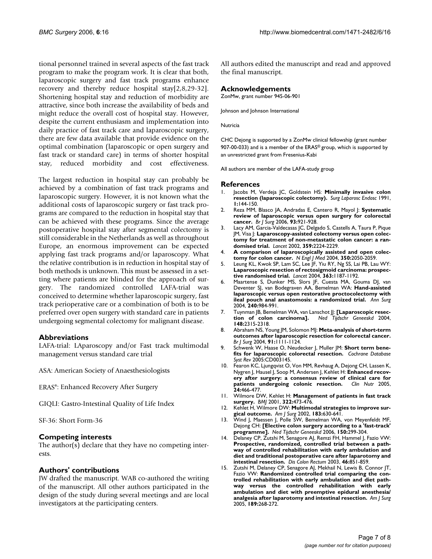tional personnel trained in several aspects of the fast track program to make the program work. It is clear that both, laparoscopic surgery and fast track programs enhance recovery and thereby reduce hospital stay[2,8,29-32]. Shortening hospital stay and reduction of morbidity are attractive, since both increase the availability of beds and might reduce the overall cost of hospital stay. However, despite the current enthusiasm and implementation into daily practice of fast track care and laparoscopic surgery, there are few data available that provide evidence on the optimal combination (laparoscopic or open surgery and fast track or standard care) in terms of shorter hospital stay, reduced morbidity and cost effectiveness.

The largest reduction in hospital stay can probably be achieved by a combination of fast track programs and laparoscopic surgery. However, it is not known what the additional costs of laparoscopic surgery or fast track programs are compared to the reduction in hospital stay that can be achieved with these programs. Since the average postoperative hospital stay after segmental colectomy is still considerable in the Netherlands as well as throughout Europe, an enormous improvement can be expected applying fast track programs and/or laparoscopy. What the relative contribution is in reduction in hospital stay of both methods is unknown. This must be assessed in a setting where patients are blinded for the approach of surgery. The randomized controlled LAFA-trial was conceived to determine whether laparoscopic surgery, fast track perioperative care or a combination of both is to be preferred over open surgery with standard care in patients undergoing segmental colectomy for malignant disease.

# **Abbreviations**

LAFA-trial: LAparoscopy and/or Fast track multimodal management versus standard care trial

ASA: American Society of Anaesthesiologists

ERAS®: Enhanced Recovery After Surgery

GIQLI: Gastro-Intestinal Quality of Life Index

SF-36: Short Form-36

#### **Competing interests**

The author(s) declare that they have no competing interests.

#### **Authors' contributions**

JW drafted the manuscript. WAB co-authored the writing of the manuscript. All other authors participated in the design of the study during several meetings and are local investigators at the participating centers.

All authors edited the manuscript and read and approved the final manuscript.

#### **Acknowledgements**

ZonMw, grant number 945-06-901

Johnson and Johnson International

Nutricia

CHC Dejong is supported by a ZonMw clinical fellowship (grant number 907-00-033) and is a member of the ERAS® group, which is supported by an unrestricted grant from Fresenius-Kabi

All authors are member of the LAFA-study group

#### **References**

- Jacobs M, Verdeja JC, Goldstein HS: [Minimally invasive colon](http://www.ncbi.nlm.nih.gov/entrez/query.fcgi?cmd=Retrieve&db=PubMed&dopt=Abstract&list_uids=1688289) **[resection \(laparoscopic colectomy\).](http://www.ncbi.nlm.nih.gov/entrez/query.fcgi?cmd=Retrieve&db=PubMed&dopt=Abstract&list_uids=1688289)** *Surg Laparosc Endosc* 1991, **1:**144-150.
- 2. Reza MM, Blasco JA, Andradas E, Cantero R, Mayol J: **[Systematic](http://www.ncbi.nlm.nih.gov/entrez/query.fcgi?cmd=Retrieve&db=PubMed&dopt=Abstract&list_uids=16845692) [review of laparoscopic versus open surgery for colorectal](http://www.ncbi.nlm.nih.gov/entrez/query.fcgi?cmd=Retrieve&db=PubMed&dopt=Abstract&list_uids=16845692) [cancer.](http://www.ncbi.nlm.nih.gov/entrez/query.fcgi?cmd=Retrieve&db=PubMed&dopt=Abstract&list_uids=16845692)** *Br J Surg* 2006, **93:**921-928.
- 3. Lacy AM, Garcia-Valdecasas JC, Delgado S, Castells A, Taura P, Pique JM, Visa J: **[Laparoscopy-assisted colectomy versus open colec](http://www.ncbi.nlm.nih.gov/entrez/query.fcgi?cmd=Retrieve&db=PubMed&dopt=Abstract&list_uids=12103285)[tomy for treatment of non-metastatic colon cancer: a ran](http://www.ncbi.nlm.nih.gov/entrez/query.fcgi?cmd=Retrieve&db=PubMed&dopt=Abstract&list_uids=12103285)[domised trial.](http://www.ncbi.nlm.nih.gov/entrez/query.fcgi?cmd=Retrieve&db=PubMed&dopt=Abstract&list_uids=12103285)** *Lancet* 2002, **359:**2224-2229.
- 4. **[A comparison of laparoscopically assisted and open colec](http://www.ncbi.nlm.nih.gov/entrez/query.fcgi?cmd=Retrieve&db=PubMed&dopt=Abstract&list_uids=15141043)[tomy for colon cancer.](http://www.ncbi.nlm.nih.gov/entrez/query.fcgi?cmd=Retrieve&db=PubMed&dopt=Abstract&list_uids=15141043)** *N Engl J Med* 2004, **350:**2050-2059.
- 5. Leung KL, Kwok SP, Lam SC, Lee JF, Yiu RY, Ng SS, Lai PB, Lau WY: **[Laparoscopic resection of rectosigmoid carcinoma: prospec](http://www.ncbi.nlm.nih.gov/entrez/query.fcgi?cmd=Retrieve&db=PubMed&dopt=Abstract&list_uids=15081650)[tive randomised trial.](http://www.ncbi.nlm.nih.gov/entrez/query.fcgi?cmd=Retrieve&db=PubMed&dopt=Abstract&list_uids=15081650)** *Lancet* 2004, **363:**1187-1192.
- 6. Maartense S, Dunker MS, Slors JF, Cuesta MA, Gouma DJ, van Deventer SJ, van Bodegraven AA, Bemelman WA: **[Hand-assisted](http://www.ncbi.nlm.nih.gov/entrez/query.fcgi?cmd=Retrieve&db=PubMed&dopt=Abstract&list_uids=15570204) [laparoscopic versus open restorative proctocolectomy with](http://www.ncbi.nlm.nih.gov/entrez/query.fcgi?cmd=Retrieve&db=PubMed&dopt=Abstract&list_uids=15570204) [ileal pouch anal anastomosis: a randomized trial.](http://www.ncbi.nlm.nih.gov/entrez/query.fcgi?cmd=Retrieve&db=PubMed&dopt=Abstract&list_uids=15570204)** *Ann Surg* 2004, **240:**984-991.
- 7. Tuynman JB, Bemelman WA, van Lanschot JJ: **[\[Laparoscopic resec](http://www.ncbi.nlm.nih.gov/entrez/query.fcgi?cmd=Retrieve&db=PubMed&dopt=Abstract&list_uids=15587048)[tion of colon carcinoma\].](http://www.ncbi.nlm.nih.gov/entrez/query.fcgi?cmd=Retrieve&db=PubMed&dopt=Abstract&list_uids=15587048)** *Ned Tijdschr Geneeskd* 2004, **148:**2315-2318.
- 8. Abraham NS, Young JM, Solomon MJ: **[Meta-analysis of short-term](http://www.ncbi.nlm.nih.gov/entrez/query.fcgi?cmd=Retrieve&db=PubMed&dopt=Abstract&list_uids=15449261) [outcomes after laparoscopic resection for colorectal cancer.](http://www.ncbi.nlm.nih.gov/entrez/query.fcgi?cmd=Retrieve&db=PubMed&dopt=Abstract&list_uids=15449261)** *Br J Surg* 2004, **91:**1111-1124.
- 9. Schwenk W, Haase O, Neudecker J, Muller JM: **[Short term bene](http://www.ncbi.nlm.nih.gov/entrez/query.fcgi?cmd=Retrieve&db=PubMed&dopt=Abstract&list_uids=16034888)[fits for laparoscopic colorectal resection.](http://www.ncbi.nlm.nih.gov/entrez/query.fcgi?cmd=Retrieve&db=PubMed&dopt=Abstract&list_uids=16034888)** *Cochrane Database Syst Rev* 2005:CD003145.
- 10. Fearon KC, Ljungqvist O, Von MM, Revhaug A, Dejong CH, Lassen K, Nygren J, Hausel J, Soop M, Andersen J, Kehlet H: **[Enhanced recov](http://www.ncbi.nlm.nih.gov/entrez/query.fcgi?cmd=Retrieve&db=PubMed&dopt=Abstract&list_uids=15896435)[ery after surgery: a consensus review of clinical care for](http://www.ncbi.nlm.nih.gov/entrez/query.fcgi?cmd=Retrieve&db=PubMed&dopt=Abstract&list_uids=15896435)** [patients undergoing colonic resection.](http://www.ncbi.nlm.nih.gov/entrez/query.fcgi?cmd=Retrieve&db=PubMed&dopt=Abstract&list_uids=15896435) **24:**466-477.
- 11. Wilmore DW, Kehlet H: **[Management of patients in fast track](http://www.ncbi.nlm.nih.gov/entrez/query.fcgi?cmd=Retrieve&db=PubMed&dopt=Abstract&list_uids=11222424) [surgery.](http://www.ncbi.nlm.nih.gov/entrez/query.fcgi?cmd=Retrieve&db=PubMed&dopt=Abstract&list_uids=11222424)** *BMJ* 2001, **322:**473-476.
- 12. Kehlet H, Wilmore DW: **[Multimodal strategies to improve sur](http://www.ncbi.nlm.nih.gov/entrez/query.fcgi?cmd=Retrieve&db=PubMed&dopt=Abstract&list_uids=12095591)[gical outcome.](http://www.ncbi.nlm.nih.gov/entrez/query.fcgi?cmd=Retrieve&db=PubMed&dopt=Abstract&list_uids=12095591)** *Am J Surg* 2002, **183:**630-641.
- 13. Wind J, Maessen J, Polle SW, Bemelman WA, von Meyenfeldt MF, Dejong CH: **[\[Elective colon surgery according to a 'fast-track'](http://www.ncbi.nlm.nih.gov/entrez/query.fcgi?cmd=Retrieve&db=PubMed&dopt=Abstract&list_uids=16503020) [programme\].](http://www.ncbi.nlm.nih.gov/entrez/query.fcgi?cmd=Retrieve&db=PubMed&dopt=Abstract&list_uids=16503020)** *Ned Tijdschr Geneeskd* 2006, **150:**299-304.
- 14. Delaney CP, Zutshi M, Senagore AJ, Remzi FH, Hammel J, Fazio VW: **[Prospective, randomized, controlled trial between a path](http://www.ncbi.nlm.nih.gov/entrez/query.fcgi?cmd=Retrieve&db=PubMed&dopt=Abstract&list_uids=12847356)way of controlled rehabilitation with early ambulation and diet and traditional postoperative care after laparotomy and [intestinal resection.](http://www.ncbi.nlm.nih.gov/entrez/query.fcgi?cmd=Retrieve&db=PubMed&dopt=Abstract&list_uids=12847356)** *Dis Colon Rectum* 2003, **46:**851-859.
- 15. Zutshi M, Delaney CP, Senagore AJ, Mekhail N, Lewis B, Connor JT, Fazio VW: **[Randomized controlled trial comparing the con](http://www.ncbi.nlm.nih.gov/entrez/query.fcgi?cmd=Retrieve&db=PubMed&dopt=Abstract&list_uids=15792748)[trolled rehabilitation with early ambulation and diet path](http://www.ncbi.nlm.nih.gov/entrez/query.fcgi?cmd=Retrieve&db=PubMed&dopt=Abstract&list_uids=15792748)way versus the controlled rehabilitation with early ambulation and diet with preemptive epidural anesthesia/ [analgesia after laparotomy and intestinal resection.](http://www.ncbi.nlm.nih.gov/entrez/query.fcgi?cmd=Retrieve&db=PubMed&dopt=Abstract&list_uids=15792748)** *Am J Surg* 2005, **189:**268-272.